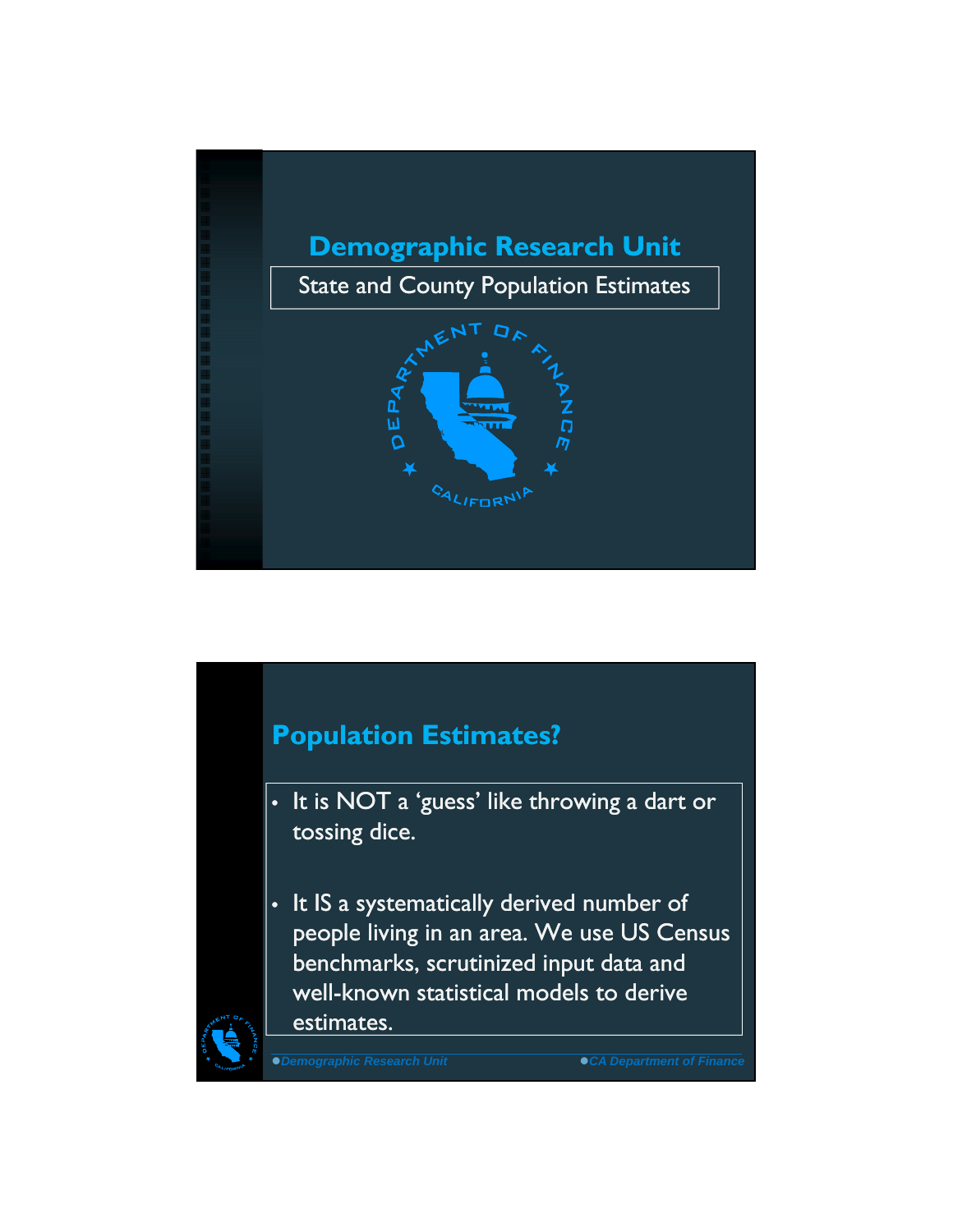

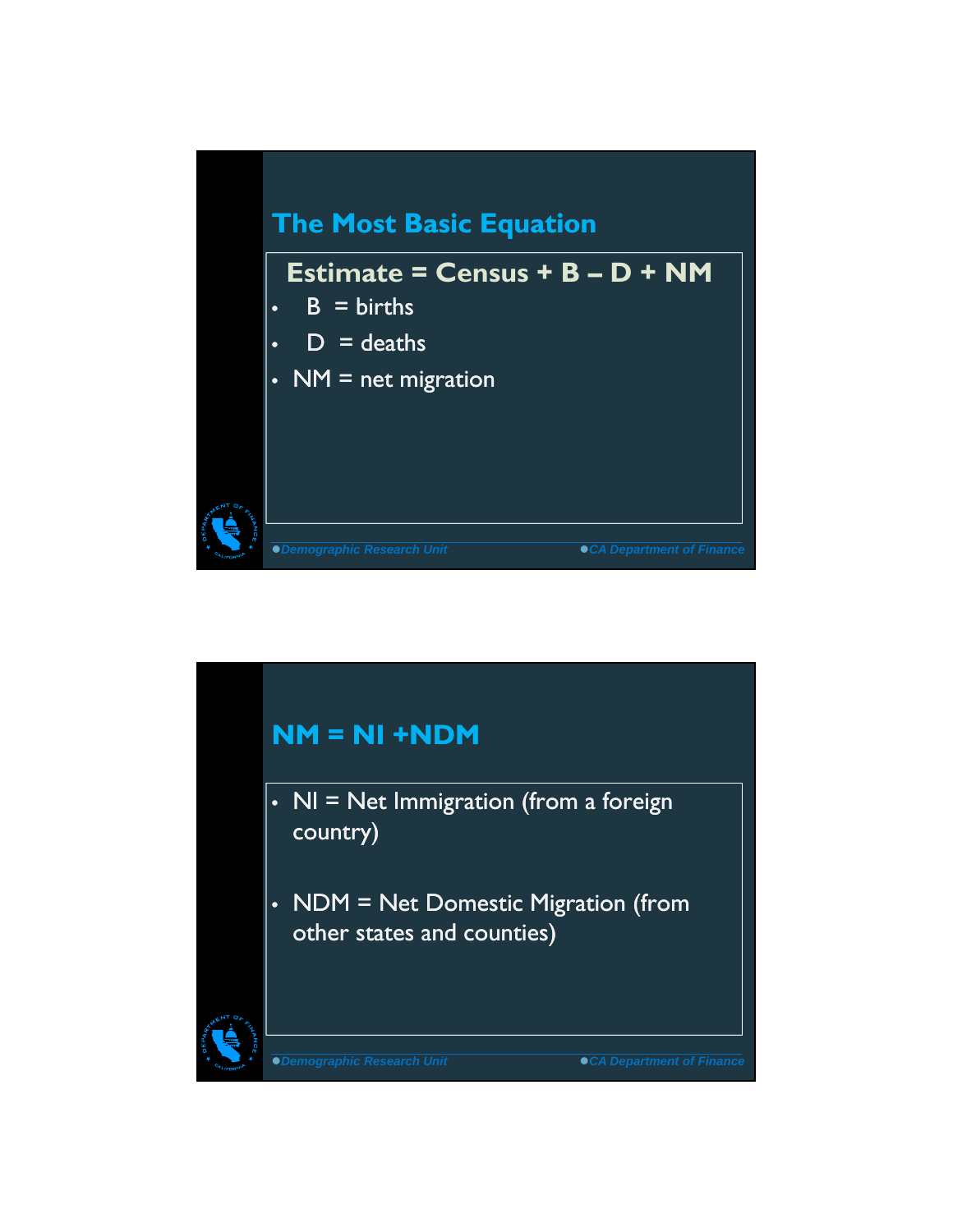

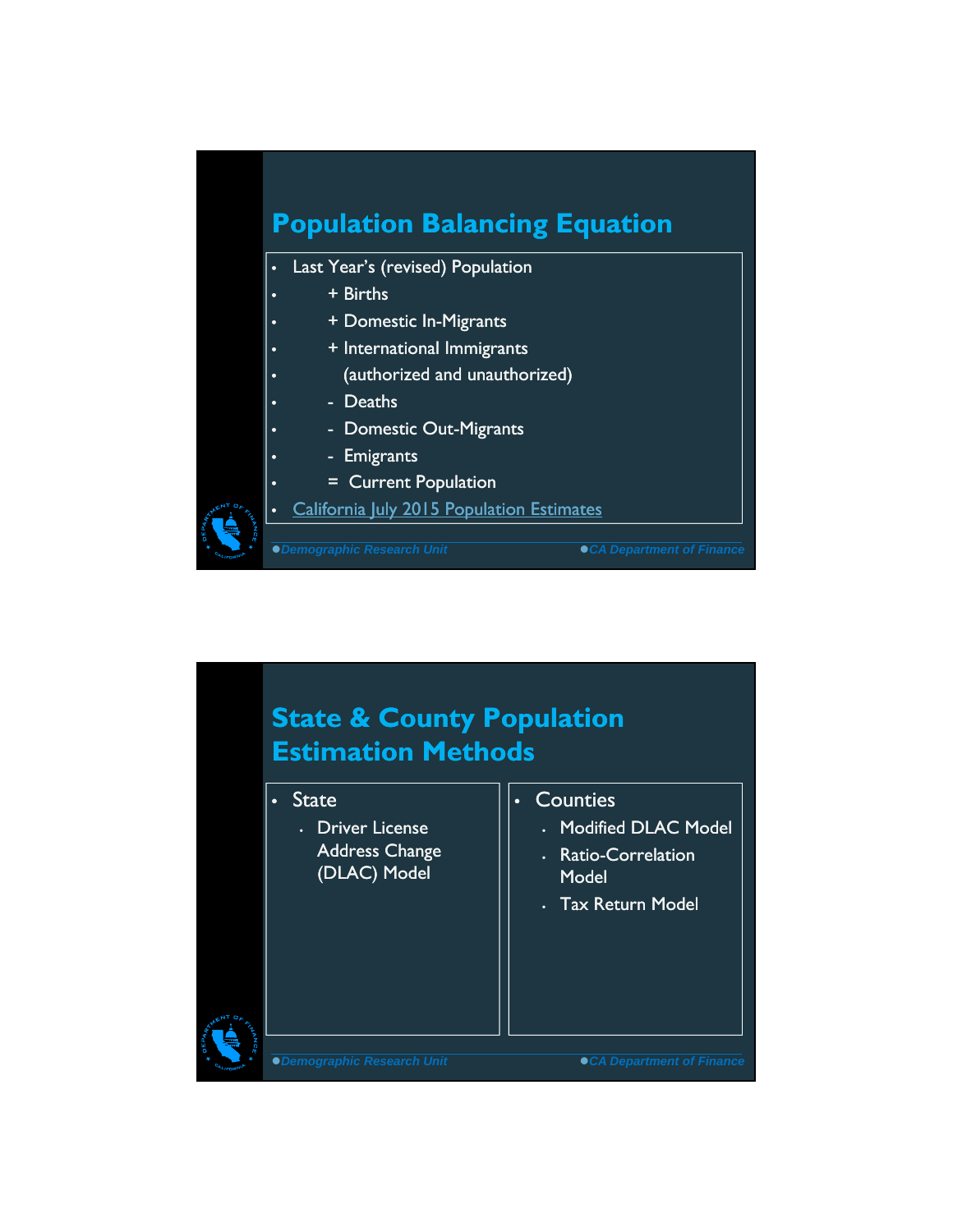

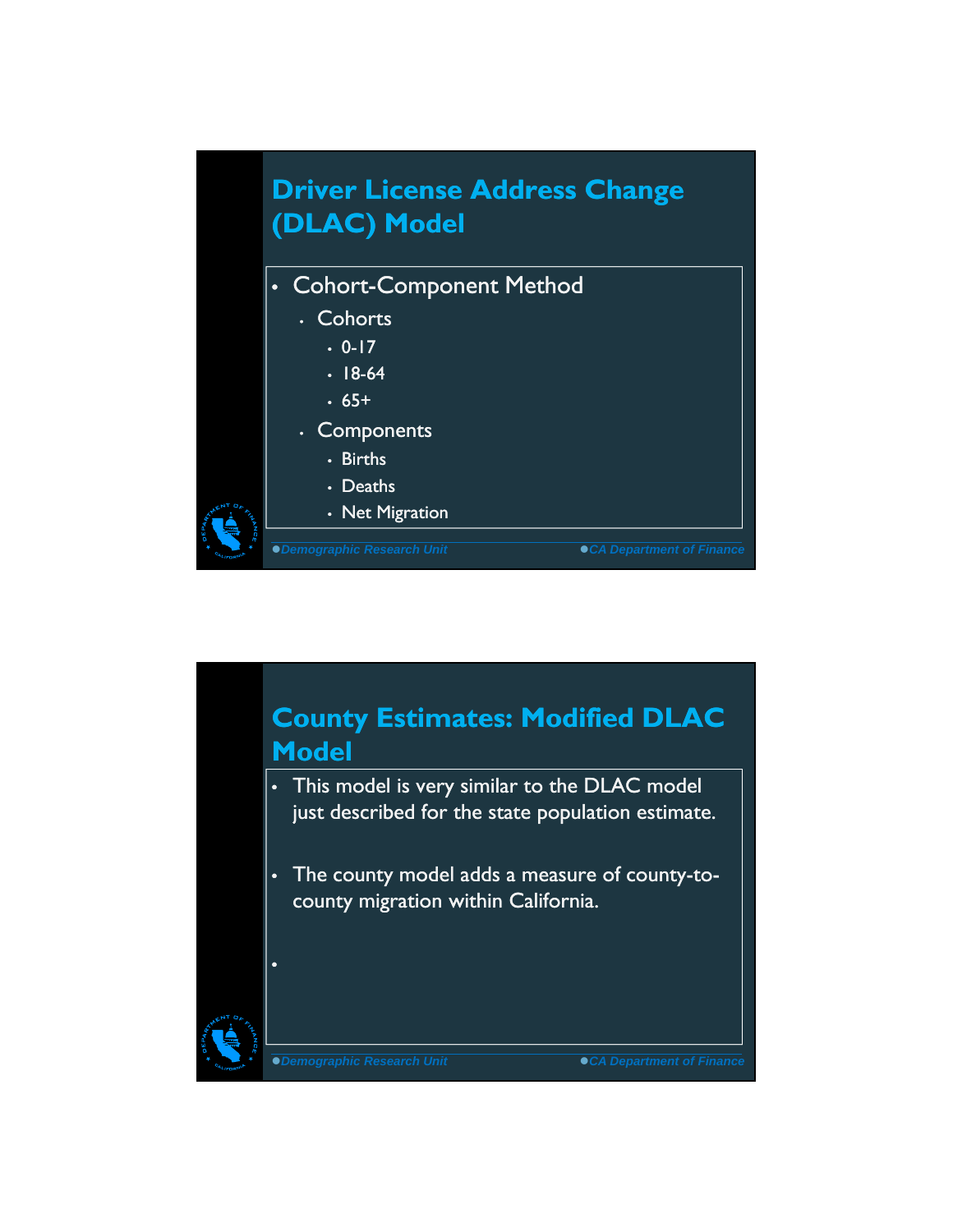

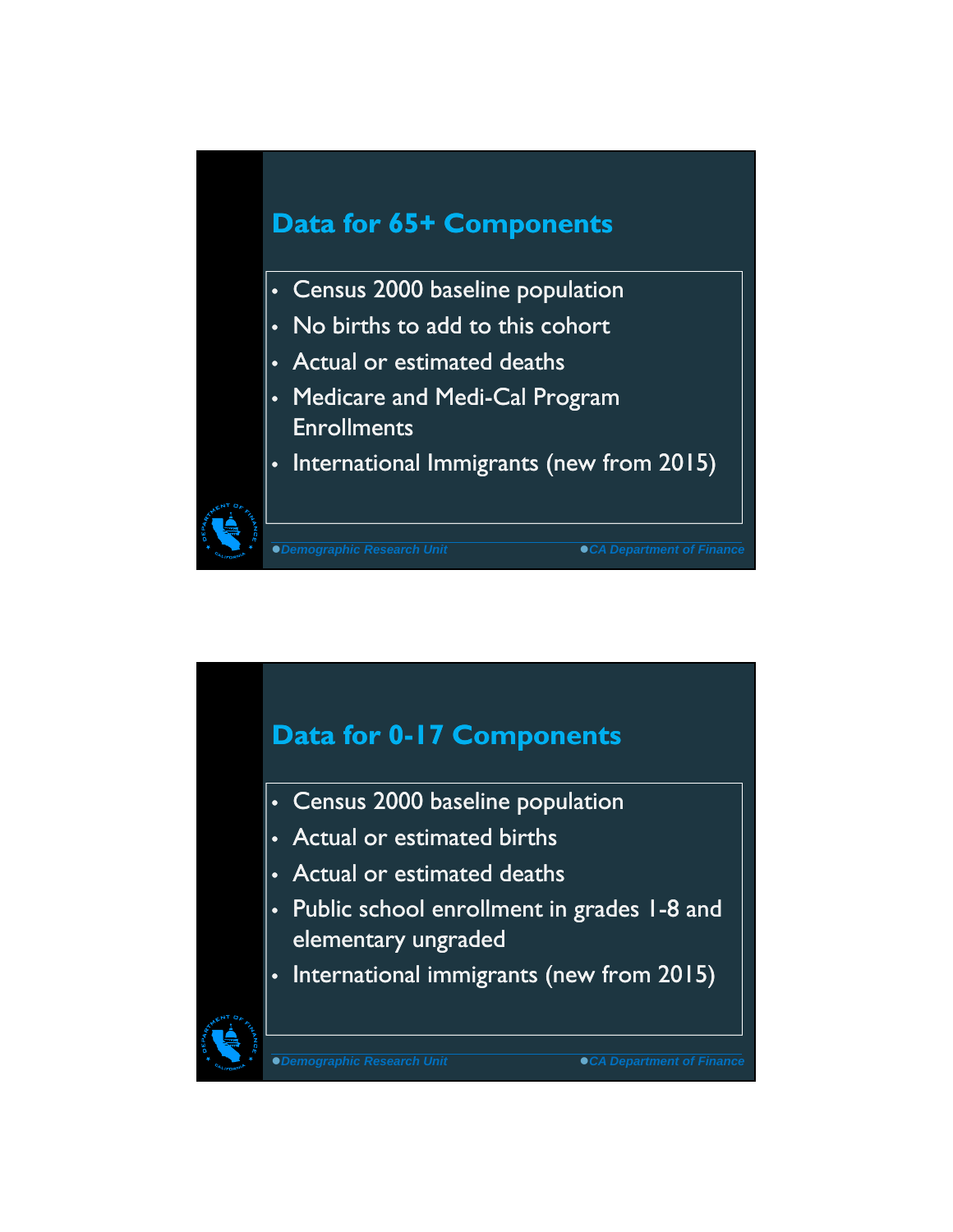

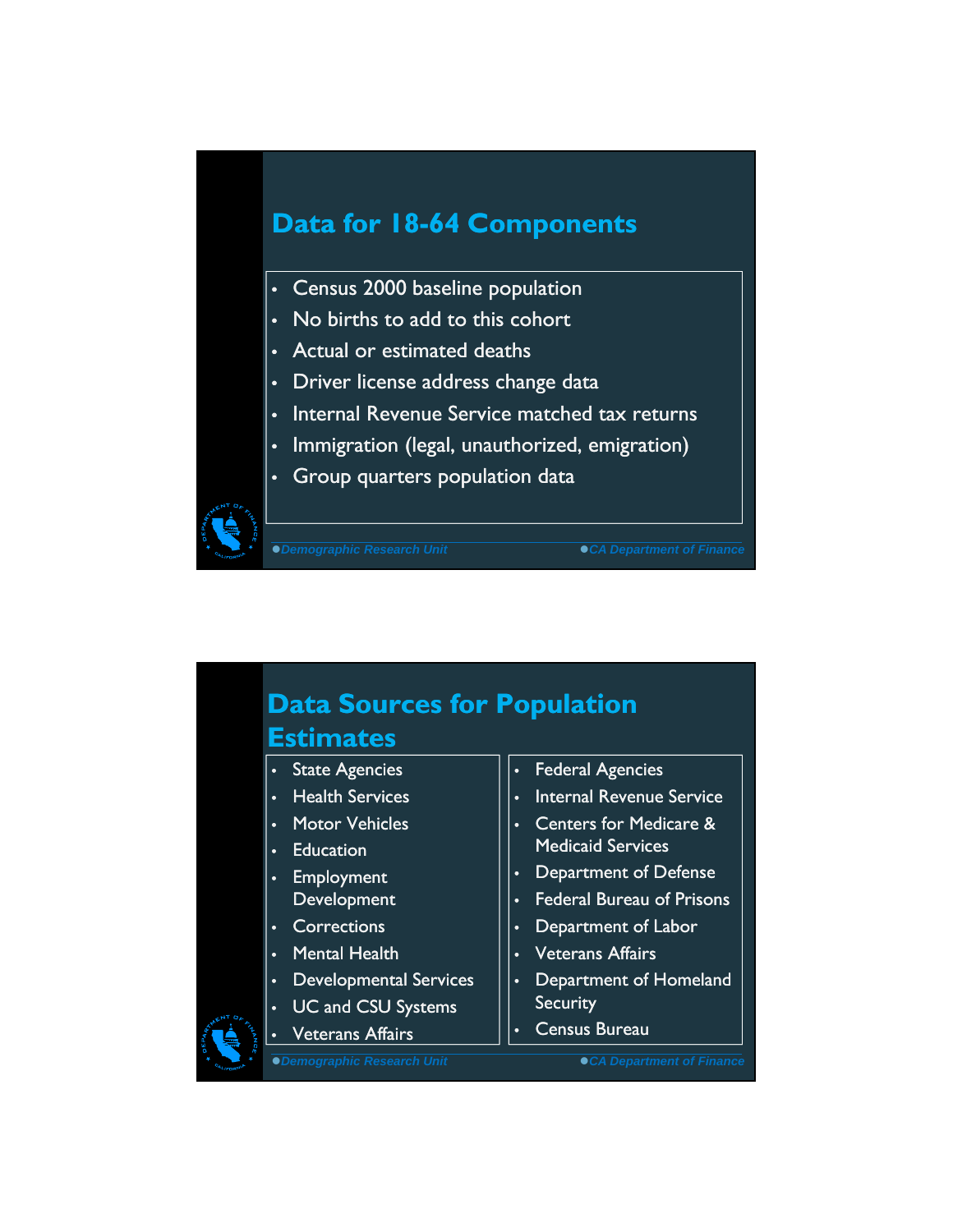#### **Data for 18-64 Components**

- Census 2000 baseline population
- No births to add to this cohort
- Actual or estimated deaths
- Driver license address change data
- Internal Revenue Service matched tax returns
- Immigration (legal, unauthorized, emigration)
- Group quarters population data



**Demographic Research Unit CA Department of Finance** 

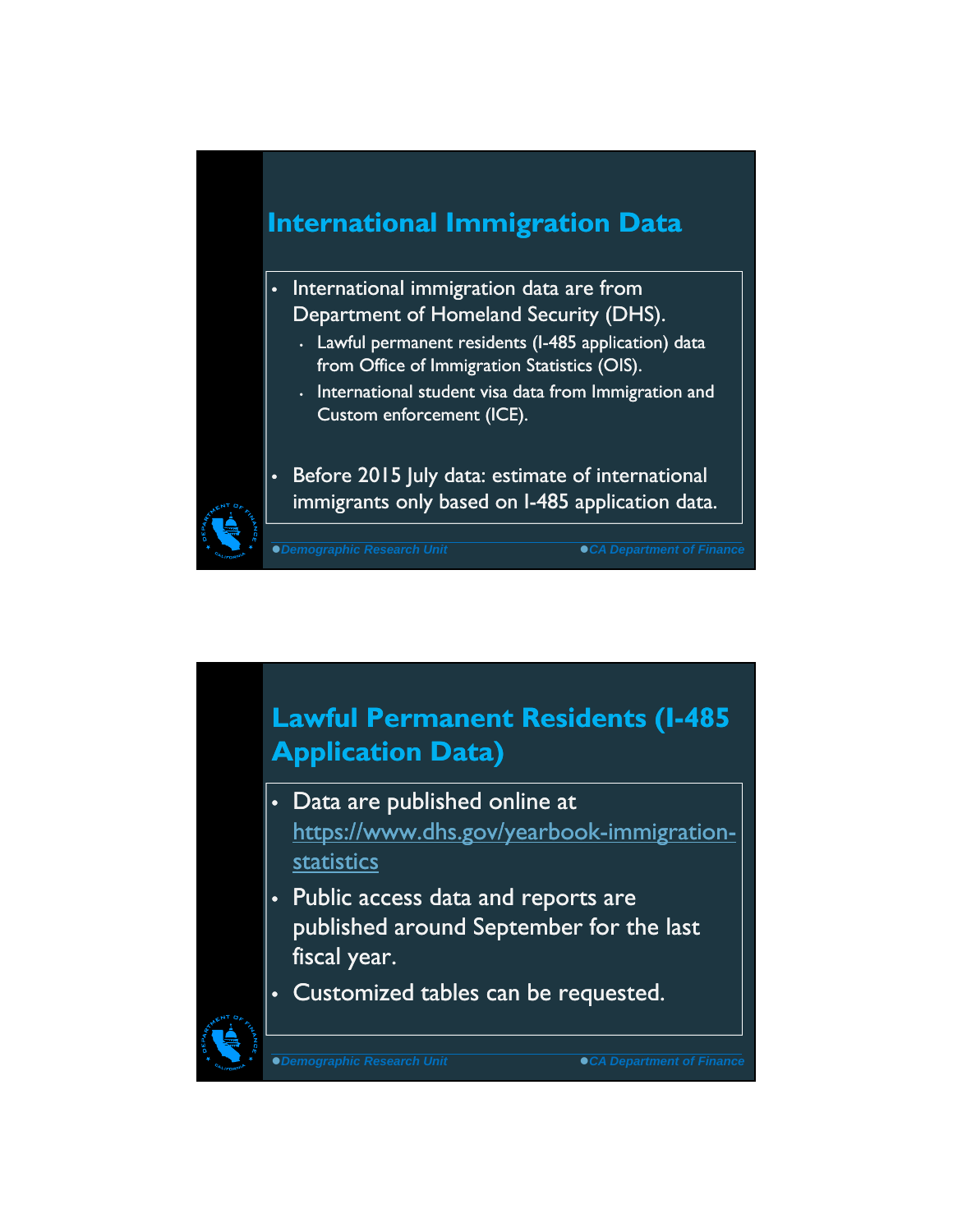### **International Immigration Data**

- International immigration data are from Department of Homeland Security (DHS).
	- Lawful permanent residents (I-485 application) data from Office of Immigration Statistics (OIS).
	- International student visa data from Immigration and Custom enforcement (ICE).



• Before 2015 July data: estimate of international immigrants only based on I-485 application data.

*Demographic Research Unit CA Department of Finance*

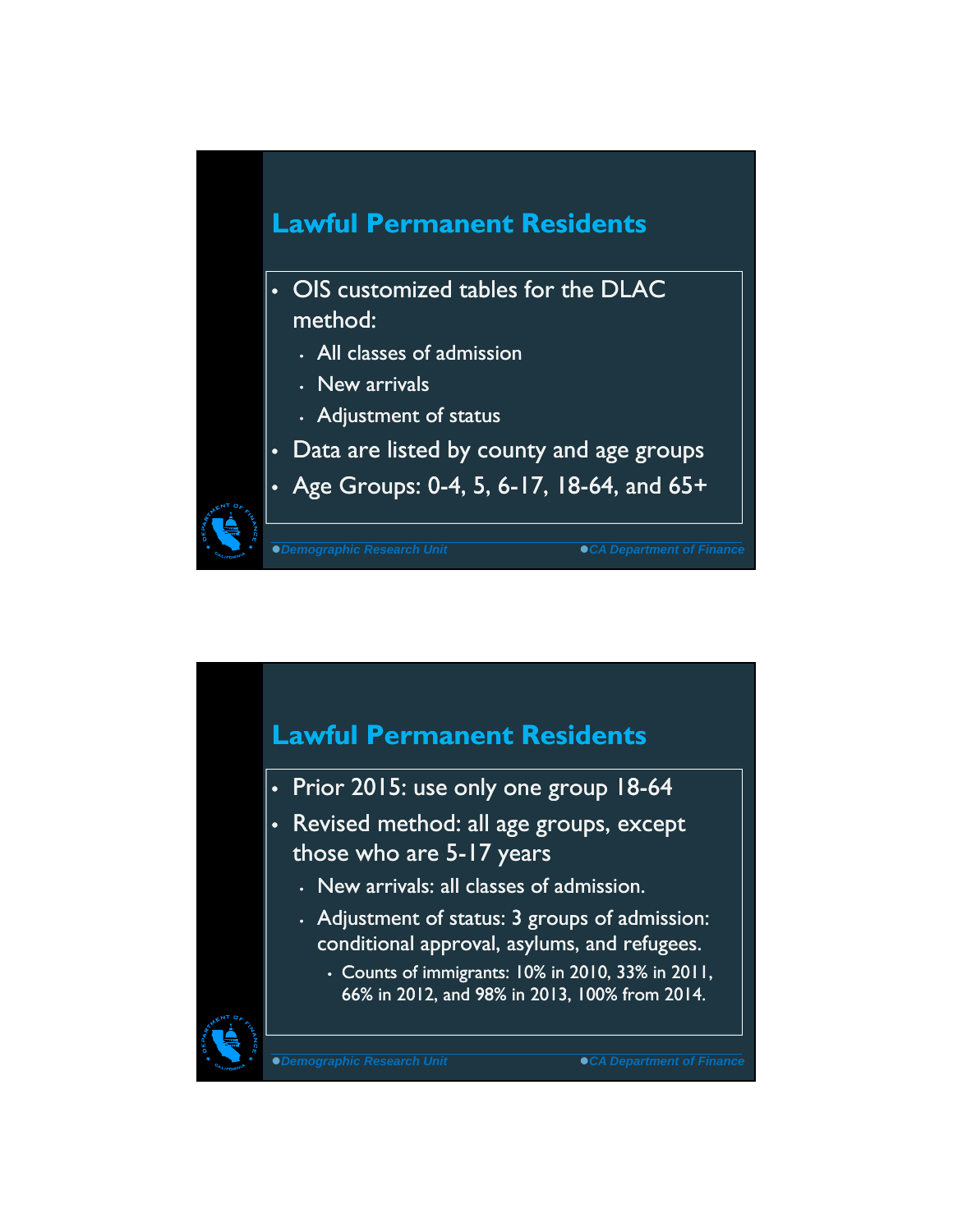

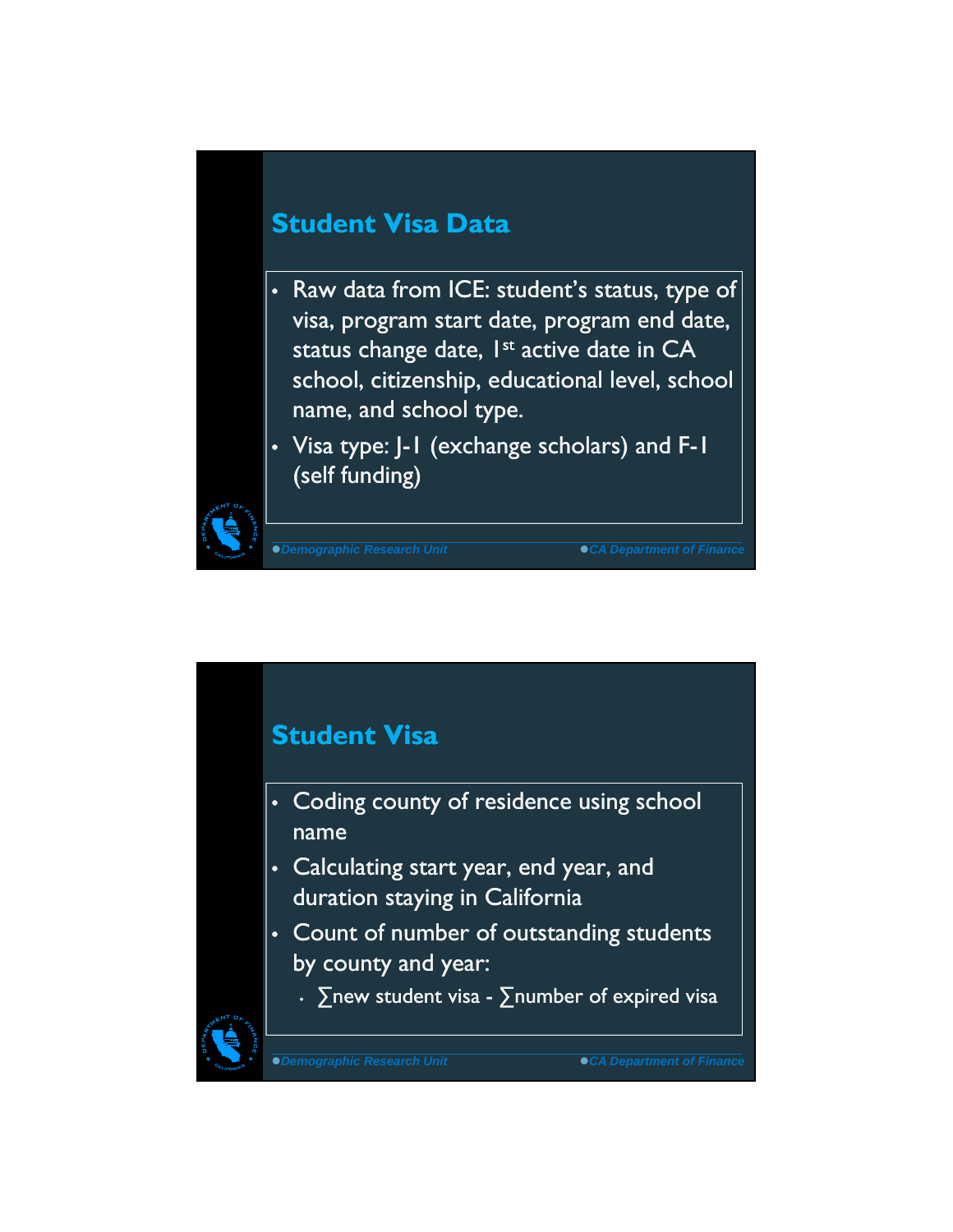#### **Student Visa Data**

- Raw data from ICE: student's status, type of visa, program start date, program end date, status change date, 1<sup>st</sup> active date in CA school, citizenship, educational level, school name, and school type.
- Visa type: J-1 (exchange scholars) and F-1 (self funding)

*Demographic Research Unit CA Department of Finance*